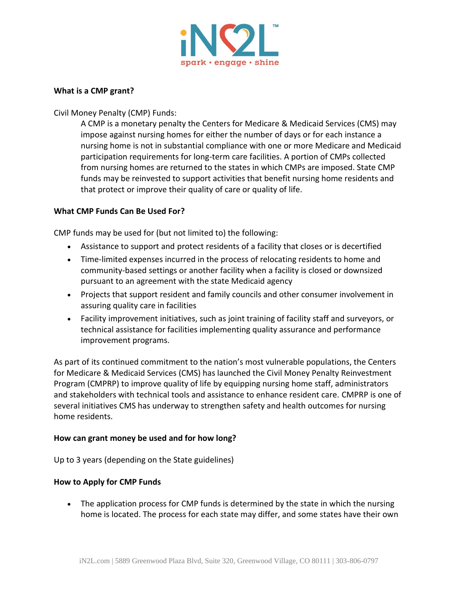

## **What is a CMP grant?**

Civil Money Penalty (CMP) Funds:

A CMP is a monetary penalty the Centers for Medicare & Medicaid Services (CMS) may impose against nursing homes for either the number of days or for each instance a nursing home is not in substantial compliance with one or more Medicare and Medicaid participation requirements for long-term care facilities. A portion of CMPs collected from nursing homes are returned to the states in which CMPs are imposed. State CMP funds may be reinvested to support activities that benefit nursing home residents and that protect or improve their quality of care or quality of life.

## **What CMP Funds Can Be Used For?**

CMP funds may be used for (but not limited to) the following:

- Assistance to support and protect residents of a facility that closes or is decertified
- Time-limited expenses incurred in the process of relocating residents to home and community-based settings or another facility when a facility is closed or downsized pursuant to an agreement with the state Medicaid agency
- Projects that support resident and family councils and other consumer involvement in assuring quality care in facilities
- Facility improvement initiatives, such as joint training of facility staff and surveyors, or technical assistance for facilities implementing quality assurance and performance improvement programs.

As part of its continued commitment to the nation's most vulnerable populations, the Centers for Medicare & Medicaid Services (CMS) has launched the Civil Money Penalty Reinvestment Program (CMPRP) to improve quality of life by equipping nursing home staff, administrators and stakeholders with technical tools and assistance to enhance resident care. CMPRP is one of several initiatives CMS has underway to strengthen safety and health outcomes for nursing home residents.

## **How can grant money be used and for how long?**

Up to 3 years (depending on the State guidelines)

### **How to Apply for CMP Funds**

• The application process for CMP funds is determined by the state in which the nursing home is located. The process for each state may differ, and some states have their own